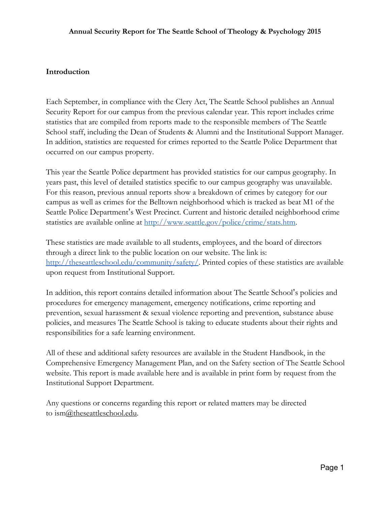#### **Introduction**

Each September, in compliance with the Clery Act, The Seattle School publishes an Annual Security Report for our campus from the previous calendar year. This report includes crime statistics that are compiled from reports made to the responsible members of The Seattle School staff, including the Dean of Students & Alumni and the Institutional Support Manager. In addition, statistics are requested for crimes reported to the Seattle Police Department that occurred on our campus property.

This year the Seattle Police department has provided statistics for our campus geography. In years past, this level of detailed statistics specific to our campus geography was unavailable. For this reason, previous annual reports show a breakdown of crimes by category for our campus as well as crimes for the Belltown neighborhood which is tracked as beat M1 of the Seattle Police Department's West Precinct. Current and historic detailed neighborhood crime statistics are available online at [http://www.seattle.gov/police/crime/stats.htm.](http://www.seattle.gov/police/crime/stats.htm)

These statistics are made available to all students, employees, and the board of directors through a direct link to the public location on our website. The link is: <http://theseattleschool.edu/community/safety/>. Printed copies of these statistics are available upon request from Institutional Support.

In addition, this report contains detailed information about The Seattle School's policies and procedures for emergency management, emergency notifications, crime reporting and prevention, sexual harassment & sexual violence reporting and prevention, substance abuse policies, and measures The Seattle School is taking to educate students about their rights and responsibilities for a safe learning environment.

All of these and additional safety resources are available in the Student Handbook, in the Comprehensive Emergency Management Plan, and on the Safety section of The Seattle School website. This report is made available here and is available in print form by request from the Institutional Support Department.

Any questions or concerns regarding this report or related matters may be directed to is[m@theseattleschool.edu.](mailto:dtidwell@theseattleschool.edu)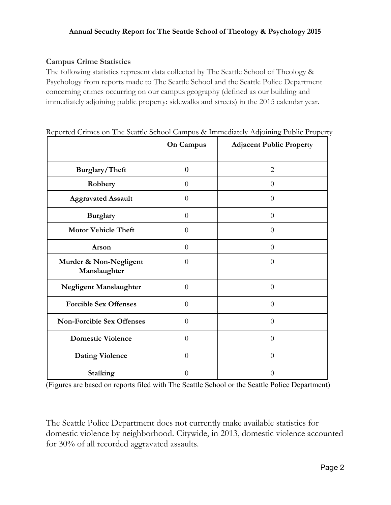#### **Campus Crime Statistics**

The following statistics represent data collected by The Seattle School of Theology & Psychology from reports made to The Seattle School and the Seattle Police Department concerning crimes occurring on our campus geography (defined as our building and immediately adjoining public property: sidewalks and streets) in the 2015 calendar year.

|                                        | <b>On Campus</b> | <b>Adjacent Public Property</b> |
|----------------------------------------|------------------|---------------------------------|
| Burglary/Theft                         | $\theta$         | $\overline{2}$                  |
| Robbery                                | $\theta$         | $\overline{0}$                  |
| <b>Aggravated Assault</b>              | $\Omega$         | $\overline{0}$                  |
| <b>Burglary</b>                        | $\theta$         | $\theta$                        |
| <b>Motor Vehicle Theft</b>             | $\Omega$         | $\theta$                        |
| Arson                                  | $\theta$         | $\theta$                        |
| Murder & Non-Negligent<br>Manslaughter | $\Omega$         | $\overline{0}$                  |
| Negligent Manslaughter                 | $\theta$         | $\overline{0}$                  |
| <b>Forcible Sex Offenses</b>           | $\overline{0}$   | $\overline{0}$                  |
| <b>Non-Forcible Sex Offenses</b>       | $\Omega$         | $\overline{0}$                  |
| <b>Domestic Violence</b>               | $\Omega$         | $\overline{0}$                  |
| <b>Dating Violence</b>                 | $\Omega$         | $\overline{0}$                  |
| <b>Stalking</b>                        | $\theta$         | $\overline{0}$                  |

Reported Crimes on The Seattle School Campus & Immediately Adjoining Public Property

(Figures are based on reports filed with The Seattle School or the Seattle Police Department)

The Seattle Police Department does not currently make available statistics for domestic violence by neighborhood. Citywide, in 2013, domestic violence accounted for 30% of all recorded aggravated assaults.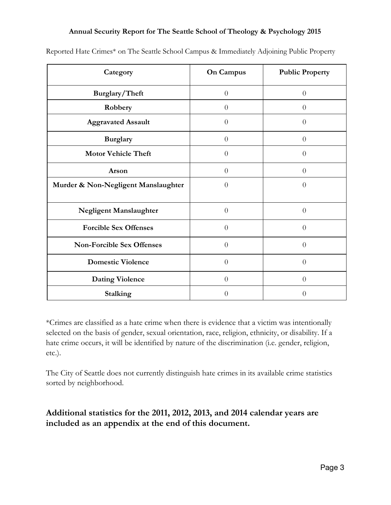| Category                            | <b>On Campus</b> | <b>Public Property</b> |
|-------------------------------------|------------------|------------------------|
| Burglary/Theft                      | $\overline{0}$   | $\overline{0}$         |
| Robbery                             | $\overline{0}$   | $\overline{0}$         |
| <b>Aggravated Assault</b>           | $\theta$         | $\theta$               |
| <b>Burglary</b>                     | $\theta$         | $\theta$               |
| <b>Motor Vehicle Theft</b>          | $\theta$         | $\Omega$               |
| Arson                               | $\overline{0}$   | $\theta$               |
| Murder & Non-Negligent Manslaughter | $\theta$         | $\overline{0}$         |
|                                     |                  |                        |
| <b>Negligent Manslaughter</b>       | $\overline{0}$   | $\overline{0}$         |
| <b>Forcible Sex Offenses</b>        | $\theta$         | $\theta$               |
| <b>Non-Forcible Sex Offenses</b>    | $\theta$         | $\theta$               |
| <b>Domestic Violence</b>            | $\overline{0}$   | $\theta$               |
| <b>Dating Violence</b>              | $\overline{0}$   | $\theta$               |
| Stalking                            | $\theta$         | 0                      |

Reported Hate Crimes\* on The Seattle School Campus & Immediately Adjoining Public Property

\*Crimes are classified as a hate crime when there is evidence that a victim was intentionally selected on the basis of gender, sexual orientation, race, religion, ethnicity, or disability. If a hate crime occurs, it will be identified by nature of the discrimination (i.e. gender, religion, etc.).

The City of Seattle does not currently distinguish hate crimes in its available crime statistics sorted by neighborhood.

### **Additional statistics for the 2011, 2012, 2013, and 2014 calendar years are included as an appendix at the end of this document.**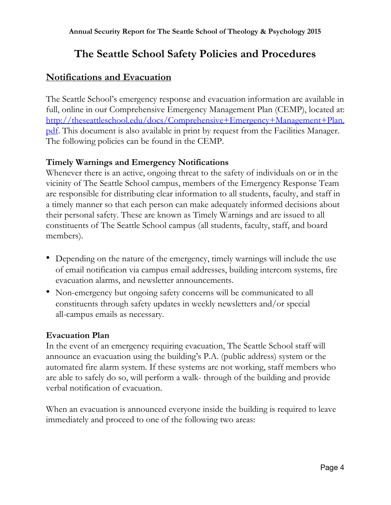# **The Seattle School Safety Policies and Procedures**

# **Notifications and Evacuation**

The Seattle School's emergency response and evacuation information are available in full, online in our Comprehensive Emergency Management Plan (CEMP), located at: [http://theseattleschool.edu/docs/Comprehensive+Emergency+Management+Plan.](http://theseattleschool.edu/docs/Comprehensive+Emergency+Management+Plan.pdf) [pdf.](http://theseattleschool.edu/docs/Comprehensive+Emergency+Management+Plan.pdf) This document is also available in print by request from the Facilities Manager. The following policies can be found in the CEMP.

### **Timely Warnings and Emergency Notifications**

Whenever there is an active, ongoing threat to the safety of individuals on or in the vicinity of The Seattle School campus, members of the Emergency Response Team are responsible for distributing clear information to all students, faculty, and staff in a timely manner so that each person can make adequately informed decisions about their personal safety. These are known as Timely Warnings and are issued to all constituents of The Seattle School campus (all students, faculty, staff, and board members).

- Depending on the nature of the emergency, timely warnings will include the use of email notification via campus email addresses, building intercom systems, fire evacuation alarms, and newsletter announcements.
- Non-emergency but ongoing safety concerns will be communicated to all constituents through safety updates in weekly newsletters and/or special all-campus emails as necessary.

### **Evacuation Plan**

In the event of an emergency requiring evacuation, The Seattle School staff will announce an evacuation using the building's P.A. (public address) system or the automated fire alarm system. If these systems are not working, staff members who are able to safely do so, will perform a walk- through of the building and provide verbal notification of evacuation.

When an evacuation is announced everyone inside the building is required to leave immediately and proceed to one of the following two areas: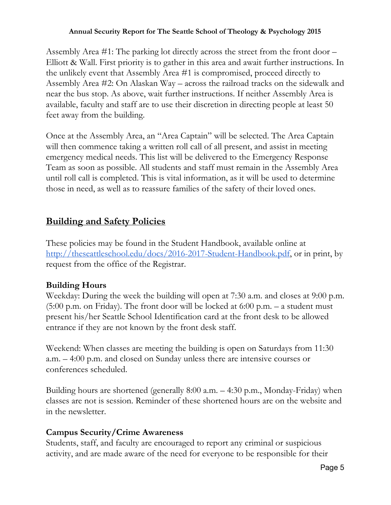Assembly Area #1: The parking lot directly across the street from the front door – Elliott & Wall. First priority is to gather in this area and await further instructions. In the unlikely event that Assembly Area #1 is compromised, proceed directly to Assembly Area #2: On Alaskan Way – across the railroad tracks on the sidewalk and near the bus stop. As above, wait further instructions. If neither Assembly Area is available, faculty and staff are to use their discretion in directing people at least 50 feet away from the building.

Once at the Assembly Area, an "Area Captain" will be selected. The Area Captain will then commence taking a written roll call of all present, and assist in meeting emergency medical needs. This list will be delivered to the Emergency Response Team as soon as possible. All students and staff must remain in the Assembly Area until roll call is completed. This is vital information, as it will be used to determine those in need, as well as to reassure families of the safety of their loved ones.

# **Building and Safety Policies**

These policies may be found in the Student Handbook, available online at [http://theseattleschool.edu/docs/2016-2017-Student-Handbook.pdf,](http://theseattleschool.edu/docs/2016-2017-Student-Handbook.pdf) or in print, by request from the office of the Registrar.

### **Building Hours**

Weekday: During the week the building will open at 7:30 a.m. and closes at 9:00 p.m.  $(5:00 \text{ p.m. on } \text{Friday})$ . The front door will be locked at 6:00 p.m. – a student must present his/her Seattle School Identification card at the front desk to be allowed entrance if they are not known by the front desk staff.

Weekend: When classes are meeting the building is open on Saturdays from 11:30 a.m. – 4:00 p.m. and closed on Sunday unless there are intensive courses or conferences scheduled.

Building hours are shortened (generally 8:00 a.m. – 4:30 p.m., Monday-Friday) when classes are not is session. Reminder of these shortened hours are on the website and in the newsletter.

### **Campus Security/Crime Awareness**

Students, staff, and faculty are encouraged to report any criminal or suspicious activity, and are made aware of the need for everyone to be responsible for their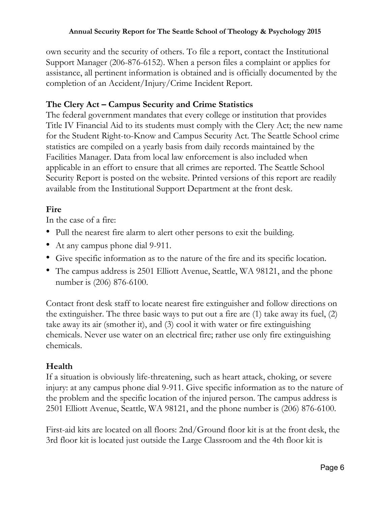own security and the security of others. To file a report, contact the Institutional Support Manager (206-876-6152). When a person files a complaint or applies for assistance, all pertinent information is obtained and is officially documented by the completion of an Accident/Injury/Crime Incident Report.

### **The Clery Act – Campus Security and Crime Statistics**

The federal government mandates that every college or institution that provides Title IV Financial Aid to its students must comply with the Clery Act; the new name for the Student Right-to-Know and Campus Security Act. The Seattle School crime statistics are compiled on a yearly basis from daily records maintained by the Facilities Manager. Data from local law enforcement is also included when applicable in an effort to ensure that all crimes are reported. The Seattle School Security Report is posted on the website. Printed versions of this report are readily available from the Institutional Support Department at the front desk.

# **Fire**

In the case of a fire:

- Pull the nearest fire alarm to alert other persons to exit the building.
- At any campus phone dial 9-911.
- Give specific information as to the nature of the fire and its specific location.
- The campus address is 2501 Elliott Avenue, Seattle, WA 98121, and the phone number is (206) 876-6100.

Contact front desk staff to locate nearest fire extinguisher and follow directions on the extinguisher. The three basic ways to put out a fire are (1) take away its fuel, (2) take away its air (smother it), and (3) cool it with water or fire extinguishing chemicals. Never use water on an electrical fire; rather use only fire extinguishing chemicals.

# **Health**

If a situation is obviously life-threatening, such as heart attack, choking, or severe injury: at any campus phone dial 9-911. Give specific information as to the nature of the problem and the specific location of the injured person. The campus address is 2501 Elliott Avenue, Seattle, WA 98121, and the phone number is (206) 876-6100.

First-aid kits are located on all floors: 2nd/Ground floor kit is at the front desk, the 3rd floor kit is located just outside the Large Classroom and the 4th floor kit is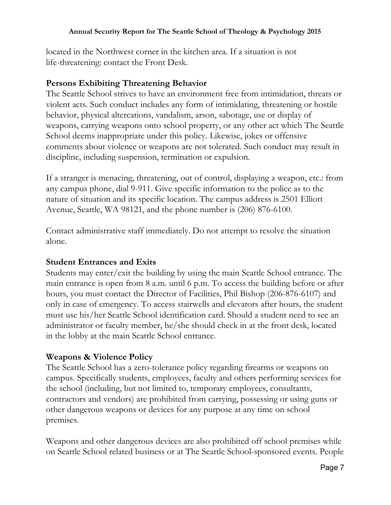located in the Northwest corner in the kitchen area. If a situation is not life-threatening: contact the Front Desk.

#### **Persons Exhibiting Threatening Behavior**

The Seattle School strives to have an environment free from intimidation, threats or violent acts. Such conduct includes any form of intimidating, threatening or hostile behavior, physical altercations, vandalism, arson, sabotage, use or display of weapons, carrying weapons onto school property, or any other act which The Seattle School deems inappropriate under this policy. Likewise, jokes or offensive comments about violence or weapons are not tolerated. Such conduct may result in discipline, including suspension, termination or expulsion.

If a stranger is menacing, threatening, out of control, displaying a weapon, etc.: from any campus phone, dial 9-911. Give specific information to the police as to the nature of situation and its specific location. The campus address is 2501 Elliott Avenue, Seattle, WA 98121, and the phone number is (206) 876-6100.

Contact administrative staff immediately. Do not attempt to resolve the situation alone.

#### **Student Entrances and Exits**

Students may enter/exit the building by using the main Seattle School entrance. The main entrance is open from 8 a.m. until 6 p.m. To access the building before or after hours, you must contact the Director of Facilities, Phil Bishop (206-876-6107) and only in case of emergency. To access stairwells and elevators after hours, the student must use his/her Seattle School identification card. Should a student need to see an administrator or faculty member, he/she should check in at the front desk, located in the lobby at the main Seattle School entrance.

### **Weapons & Violence Policy**

The Seattle School has a zero-tolerance policy regarding firearms or weapons on campus. Specifically students, employees, faculty and others performing services for the school (including, but not limited to, temporary employees, consultants, contractors and vendors) are prohibited from carrying, possessing or using guns or other dangerous weapons or devices for any purpose at any time on school premises.

Weapons and other dangerous devices are also prohibited off school premises while on Seattle School related business or at The Seattle School-sponsored events. People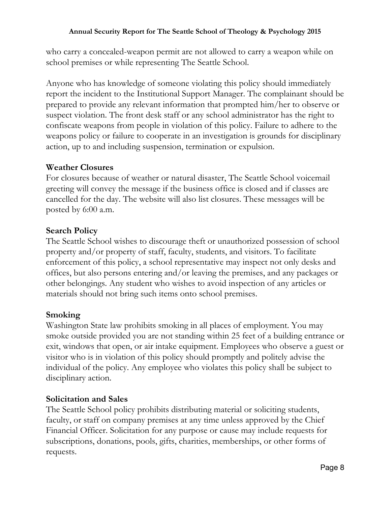who carry a concealed-weapon permit are not allowed to carry a weapon while on school premises or while representing The Seattle School.

Anyone who has knowledge of someone violating this policy should immediately report the incident to the Institutional Support Manager. The complainant should be prepared to provide any relevant information that prompted him/her to observe or suspect violation. The front desk staff or any school administrator has the right to confiscate weapons from people in violation of this policy. Failure to adhere to the weapons policy or failure to cooperate in an investigation is grounds for disciplinary action, up to and including suspension, termination or expulsion.

### **Weather Closures**

For closures because of weather or natural disaster, The Seattle School voicemail greeting will convey the message if the business office is closed and if classes are cancelled for the day. The website will also list closures. These messages will be posted by 6:00 a.m.

### **Search Policy**

The Seattle School wishes to discourage theft or unauthorized possession of school property and/or property of staff, faculty, students, and visitors. To facilitate enforcement of this policy, a school representative may inspect not only desks and offices, but also persons entering and/or leaving the premises, and any packages or other belongings. Any student who wishes to avoid inspection of any articles or materials should not bring such items onto school premises.

# **Smoking**

Washington State law prohibits smoking in all places of employment. You may smoke outside provided you are not standing within 25 feet of a building entrance or exit, windows that open, or air intake equipment. Employees who observe a guest or visitor who is in violation of this policy should promptly and politely advise the individual of the policy. Any employee who violates this policy shall be subject to disciplinary action.

### **Solicitation and Sales**

The Seattle School policy prohibits distributing material or soliciting students, faculty, or staff on company premises at any time unless approved by the Chief Financial Officer. Solicitation for any purpose or cause may include requests for subscriptions, donations, pools, gifts, charities, memberships, or other forms of requests.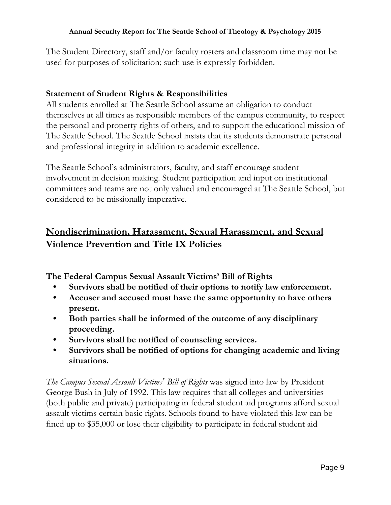The Student Directory, staff and/or faculty rosters and classroom time may not be used for purposes of solicitation; such use is expressly forbidden.

## **Statement of Student Rights & Responsibilities**

All students enrolled at The Seattle School assume an obligation to conduct themselves at all times as responsible members of the campus community, to respect the personal and property rights of others, and to support the educational mission of The Seattle School. The Seattle School insists that its students demonstrate personal and professional integrity in addition to academic excellence.

The Seattle School's administrators, faculty, and staff encourage student involvement in decision making. Student participation and input on institutional committees and teams are not only valued and encouraged at The Seattle School, but considered to be missionally imperative.

# **Nondiscrimination, Harassment, Sexual Harassment, and Sexual Violence Prevention and Title IX Policies**

**The Federal Campus Sexual Assault Victims' Bill of Rights**

- **• Survivors shall be notified of their options to notify law enforcement.**
- **• Accuser and accused must have the same opportunity to have others present.**
- **• Both parties shall be informed of the outcome of any disciplinary proceeding.**
- **• Survivors shall be notified of counseling services.**
- **• Survivors shall be notified of options for changing academic and living situations.**

*The Campus Sexual Assault Victims' Bill of Rights* was signed into law by President George Bush in July of 1992. This law requires that all colleges and universities (both public and private) participating in federal student aid programs afford sexual assault victims certain basic rights. Schools found to have violated this law can be fined up to \$35,000 or lose their eligibility to participate in federal student aid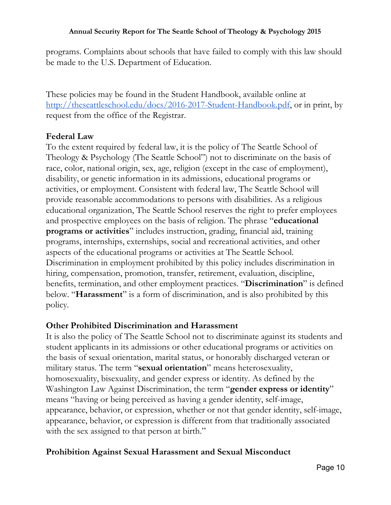programs. Complaints about schools that have failed to comply with this law should be made to the U.S. Department of Education.

These policies may be found in the Student Handbook, available online at [http://theseattleschool.edu/docs/2016-2017-Student-Handbook.pdf,](http://theseattleschool.edu/docs/2016-2017-Student-Handbook.pdf) or in print, by request from the office of the Registrar.

### **Federal Law**

To the extent required by federal law, it is the policy of The Seattle School of Theology & Psychology (The Seattle School") not to discriminate on the basis of race, color, national origin, sex, age, religion (except in the case of employment), disability, or genetic information in its admissions, educational programs or activities, or employment. Consistent with federal law, The Seattle School will provide reasonable accommodations to persons with disabilities. As a religious educational organization, The Seattle School reserves the right to prefer employees and prospective employees on the basis of religion. The phrase "**educational programs or activities**" includes instruction, grading, financial aid, training programs, internships, externships, social and recreational activities, and other aspects of the educational programs or activities at The Seattle School. Discrimination in employment prohibited by this policy includes discrimination in hiring, compensation, promotion, transfer, retirement, evaluation, discipline, benefits, termination, and other employment practices. "**Discrimination**" is defined below. "**Harassment**" is a form of discrimination, and is also prohibited by this policy.

# **Other Prohibited Discrimination and Harassment**

It is also the policy of The Seattle School not to discriminate against its students and student applicants in its admissions or other educational programs or activities on the basis of sexual orientation, marital status, or honorably discharged veteran or military status. The term "**sexual orientation**" means heterosexuality, homosexuality, bisexuality, and gender express or identity. As defined by the Washington Law Against Discrimination, the term "**gender express or identity**" means "having or being perceived as having a gender identity, self-image, appearance, behavior, or expression, whether or not that gender identity, self-image, appearance, behavior, or expression is different from that traditionally associated with the sex assigned to that person at birth."

# **Prohibition Against Sexual Harassment and Sexual Misconduct**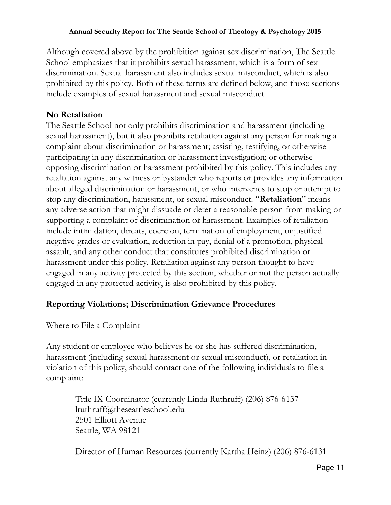Although covered above by the prohibition against sex discrimination, The Seattle School emphasizes that it prohibits sexual harassment, which is a form of sex discrimination. Sexual harassment also includes sexual misconduct, which is also prohibited by this policy. Both of these terms are defined below, and those sections include examples of sexual harassment and sexual misconduct.

#### **No Retaliation**

The Seattle School not only prohibits discrimination and harassment (including sexual harassment), but it also prohibits retaliation against any person for making a complaint about discrimination or harassment; assisting, testifying, or otherwise participating in any discrimination or harassment investigation; or otherwise opposing discrimination or harassment prohibited by this policy. This includes any retaliation against any witness or bystander who reports or provides any information about alleged discrimination or harassment, or who intervenes to stop or attempt to stop any discrimination, harassment, or sexual misconduct. "**Retaliation**" means any adverse action that might dissuade or deter a reasonable person from making or supporting a complaint of discrimination or harassment. Examples of retaliation include intimidation, threats, coercion, termination of employment, unjustified negative grades or evaluation, reduction in pay, denial of a promotion, physical assault, and any other conduct that constitutes prohibited discrimination or harassment under this policy. Retaliation against any person thought to have engaged in any activity protected by this section, whether or not the person actually engaged in any protected activity, is also prohibited by this policy.

### **Reporting Violations; Discrimination Grievance Procedures**

#### Where to File a Complaint

Any student or employee who believes he or she has suffered discrimination, harassment (including sexual harassment or sexual misconduct), or retaliation in violation of this policy, should contact one of the following individuals to file a complaint:

> Title IX Coordinator (currently Linda Ruthruff) (206) 876-6137 lruthruff@theseattleschool.edu 2501 Elliott Avenue Seattle, WA 98121

Director of Human Resources (currently Kartha Heinz) (206) 876-6131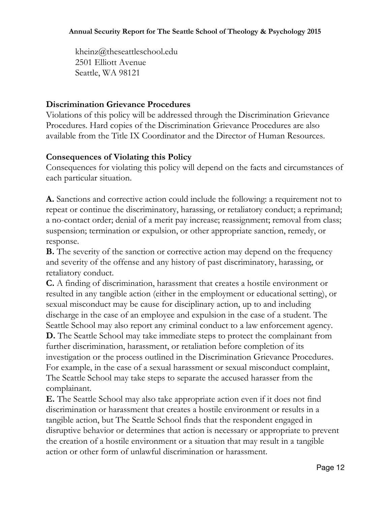kheinz@theseattleschool.edu 2501 Elliott Avenue Seattle, WA 98121

### **Discrimination Grievance Procedures**

Violations of this policy will be addressed through the Discrimination Grievance Procedures. Hard copies of the Discrimination Grievance Procedures are also available from the Title IX Coordinator and the Director of Human Resources.

### **Consequences of Violating this Policy**

Consequences for violating this policy will depend on the facts and circumstances of each particular situation.

**A.** Sanctions and corrective action could include the following: a requirement not to repeat or continue the discriminatory, harassing, or retaliatory conduct; a reprimand; a no-contact order; denial of a merit pay increase; reassignment; removal from class; suspension; termination or expulsion, or other appropriate sanction, remedy, or response.

**B.** The severity of the sanction or corrective action may depend on the frequency and severity of the offense and any history of past discriminatory, harassing, or retaliatory conduct.

**C.** A finding of discrimination, harassment that creates a hostile environment or resulted in any tangible action (either in the employment or educational setting), or sexual misconduct may be cause for disciplinary action, up to and including discharge in the case of an employee and expulsion in the case of a student. The Seattle School may also report any criminal conduct to a law enforcement agency. **D.** The Seattle School may take immediate steps to protect the complainant from further discrimination, harassment, or retaliation before completion of its investigation or the process outlined in the Discrimination Grievance Procedures. For example, in the case of a sexual harassment or sexual misconduct complaint, The Seattle School may take steps to separate the accused harasser from the complainant.

**E.** The Seattle School may also take appropriate action even if it does not find discrimination or harassment that creates a hostile environment or results in a tangible action, but The Seattle School finds that the respondent engaged in disruptive behavior or determines that action is necessary or appropriate to prevent the creation of a hostile environment or a situation that may result in a tangible action or other form of unlawful discrimination or harassment.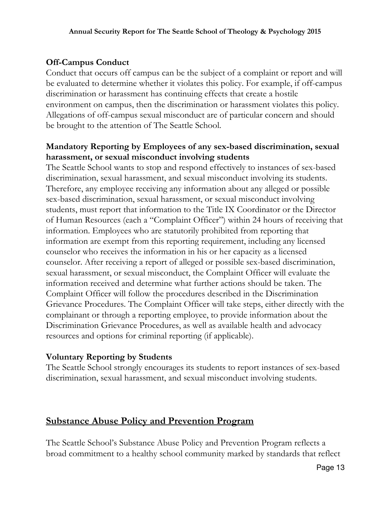### **Off-Campus Conduct**

Conduct that occurs off campus can be the subject of a complaint or report and will be evaluated to determine whether it violates this policy. For example, if off-campus discrimination or harassment has continuing effects that create a hostile environment on campus, then the discrimination or harassment violates this policy. Allegations of off-campus sexual misconduct are of particular concern and should be brought to the attention of The Seattle School.

## **Mandatory Reporting by Employees of any sex-based discrimination, sexual harassment, or sexual misconduct involving students**

The Seattle School wants to stop and respond effectively to instances of sex-based discrimination, sexual harassment, and sexual misconduct involving its students. Therefore, any employee receiving any information about any alleged or possible sex-based discrimination, sexual harassment, or sexual misconduct involving students, must report that information to the Title IX Coordinator or the Director of Human Resources (each a "Complaint Officer") within 24 hours of receiving that information. Employees who are statutorily prohibited from reporting that information are exempt from this reporting requirement, including any licensed counselor who receives the information in his or her capacity as a licensed counselor. After receiving a report of alleged or possible sex-based discrimination, sexual harassment, or sexual misconduct, the Complaint Officer will evaluate the information received and determine what further actions should be taken. The Complaint Officer will follow the procedures described in the Discrimination Grievance Procedures. The Complaint Officer will take steps, either directly with the complainant or through a reporting employee, to provide information about the Discrimination Grievance Procedures, as well as available health and advocacy resources and options for criminal reporting (if applicable).

### **Voluntary Reporting by Students**

The Seattle School strongly encourages its students to report instances of sex-based discrimination, sexual harassment, and sexual misconduct involving students.

# **Substance Abuse Policy and Prevention Program**

The Seattle School's Substance Abuse Policy and Prevention Program reflects a broad commitment to a healthy school community marked by standards that reflect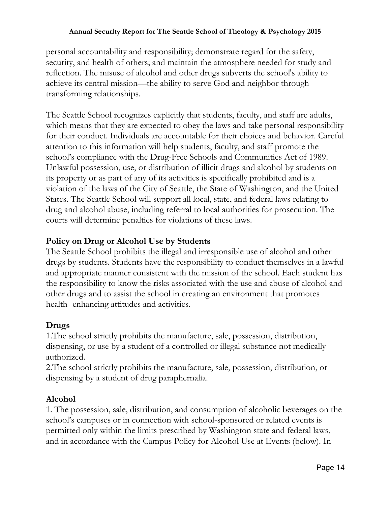personal accountability and responsibility; demonstrate regard for the safety, security, and health of others; and maintain the atmosphere needed for study and reflection. The misuse of alcohol and other drugs subverts the school's ability to achieve its central mission—the ability to serve God and neighbor through transforming relationships.

The Seattle School recognizes explicitly that students, faculty, and staff are adults, which means that they are expected to obey the laws and take personal responsibility for their conduct. Individuals are accountable for their choices and behavior. Careful attention to this information will help students, faculty, and staff promote the school's compliance with the Drug-Free Schools and Communities Act of 1989. Unlawful possession, use, or distribution of illicit drugs and alcohol by students on its property or as part of any of its activities is specifically prohibited and is a violation of the laws of the City of Seattle, the State of Washington, and the United States. The Seattle School will support all local, state, and federal laws relating to drug and alcohol abuse, including referral to local authorities for prosecution. The courts will determine penalties for violations of these laws.

#### **Policy on Drug or Alcohol Use by Students**

The Seattle School prohibits the illegal and irresponsible use of alcohol and other drugs by students. Students have the responsibility to conduct themselves in a lawful and appropriate manner consistent with the mission of the school. Each student has the responsibility to know the risks associated with the use and abuse of alcohol and other drugs and to assist the school in creating an environment that promotes health- enhancing attitudes and activities.

### **Drugs**

1.The school strictly prohibits the manufacture, sale, possession, distribution, dispensing, or use by a student of a controlled or illegal substance not medically authorized.

2.The school strictly prohibits the manufacture, sale, possession, distribution, or dispensing by a student of drug paraphernalia.

### **Alcohol**

1. The possession, sale, distribution, and consumption of alcoholic beverages on the school's campuses or in connection with school-sponsored or related events is permitted only within the limits prescribed by Washington state and federal laws, and in accordance with the Campus Policy for Alcohol Use at Events (below). In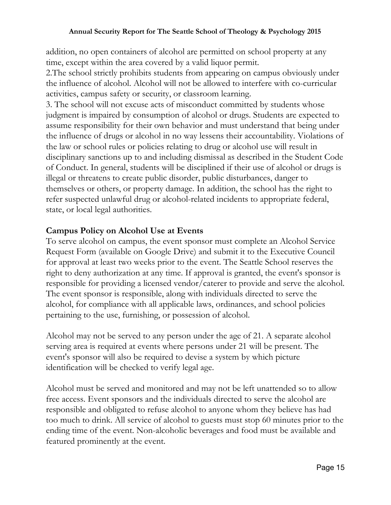addition, no open containers of alcohol are permitted on school property at any time, except within the area covered by a valid liquor permit.

2.The school strictly prohibits students from appearing on campus obviously under the influence of alcohol. Alcohol will not be allowed to interfere with co-curricular activities, campus safety or security, or classroom learning.

3. The school will not excuse acts of misconduct committed by students whose judgment is impaired by consumption of alcohol or drugs. Students are expected to assume responsibility for their own behavior and must understand that being under the influence of drugs or alcohol in no way lessens their accountability. Violations of the law or school rules or policies relating to drug or alcohol use will result in disciplinary sanctions up to and including dismissal as described in the Student Code of Conduct. In general, students will be disciplined if their use of alcohol or drugs is illegal or threatens to create public disorder, public disturbances, danger to themselves or others, or property damage. In addition, the school has the right to refer suspected unlawful drug or alcohol-related incidents to appropriate federal, state, or local legal authorities.

### **Campus Policy on Alcohol Use at Events**

To serve alcohol on campus, the event sponsor must complete an Alcohol Service Request Form (available on Google Drive) and submit it to the Executive Council for approval at least two weeks prior to the event. The Seattle School reserves the right to deny authorization at any time. If approval is granted, the event's sponsor is responsible for providing a licensed vendor/caterer to provide and serve the alcohol. The event sponsor is responsible, along with individuals directed to serve the alcohol, for compliance with all applicable laws, ordinances, and school policies pertaining to the use, furnishing, or possession of alcohol.

Alcohol may not be served to any person under the age of 21. A separate alcohol serving area is required at events where persons under 21 will be present. The event's sponsor will also be required to devise a system by which picture identification will be checked to verify legal age.

Alcohol must be served and monitored and may not be left unattended so to allow free access. Event sponsors and the individuals directed to serve the alcohol are responsible and obligated to refuse alcohol to anyone whom they believe has had too much to drink. All service of alcohol to guests must stop 60 minutes prior to the ending time of the event. Non-alcoholic beverages and food must be available and featured prominently at the event.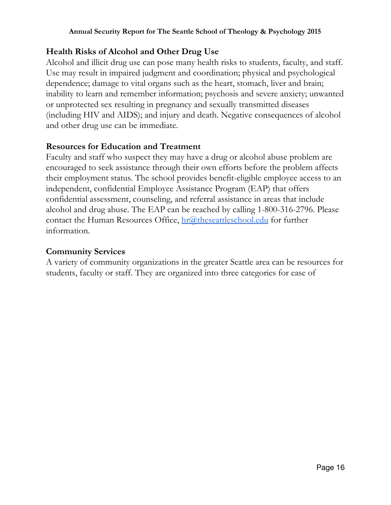# **Health Risks of Alcohol and Other Drug Use**

Alcohol and illicit drug use can pose many health risks to students, faculty, and staff. Use may result in impaired judgment and coordination; physical and psychological dependence; damage to vital organs such as the heart, stomach, liver and brain; inability to learn and remember information; psychosis and severe anxiety; unwanted or unprotected sex resulting in pregnancy and sexually transmitted diseases (including HIV and AIDS); and injury and death. Negative consequences of alcohol and other drug use can be immediate.

### **Resources for Education and Treatment**

Faculty and staff who suspect they may have a drug or alcohol abuse problem are encouraged to seek assistance through their own efforts before the problem affects their employment status. The school provides benefit-eligible employee access to an independent, confidential Employee Assistance Program (EAP) that offers confidential assessment, counseling, and referral assistance in areas that include alcohol and drug abuse. The EAP can be reached by calling 1-800-316-2796. Please contact the Human Resources Office, [hr@theseattleschool.edu](mailto:hr@theseattleschool.edu) for further information.

### **Community Services**

A variety of community organizations in the greater Seattle area can be resources for students, faculty or staff. They are organized into three categories for ease of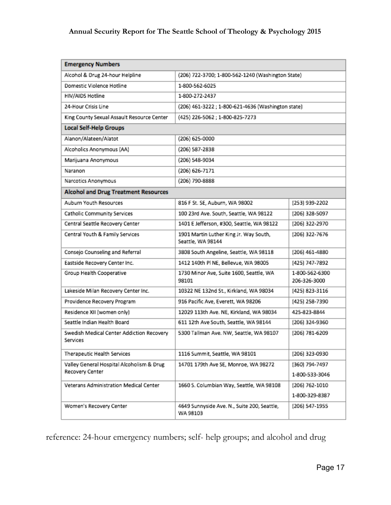| <b>Emergency Numbers</b>                              |                                                             |                                |
|-------------------------------------------------------|-------------------------------------------------------------|--------------------------------|
| Alcohol & Drug 24-hour Helpline                       | (206) 722-3700; 1-800-562-1240 (Washington State)           |                                |
| Domestic Violence Hotline                             | 1-800-562-6025                                              |                                |
| HIV/AIDS Hotline                                      | 1-800-272-2437                                              |                                |
| 24-Hour Crisis Line                                   | (206) 461-3222 ; 1-800-621-4636 (Washington state)          |                                |
| King County Sexual Assault Resource Center            | (425) 226-5062; 1-800-825-7273                              |                                |
| <b>Local Self-Help Groups</b>                         |                                                             |                                |
| Alanon/Alateen/Alatot                                 | (206) 625-0000                                              |                                |
| Alcoholics Anonymous (AA)                             | (206) 587-2838                                              |                                |
| Marijuana Anonymous                                   | (206) 548-9034                                              |                                |
| Naranon                                               | (206) 626-7171                                              |                                |
| Narcotics Anonymous                                   | (206) 790-8888                                              |                                |
| <b>Alcohol and Drug Treatment Resources</b>           |                                                             |                                |
| Auburn Youth Resources                                | 816 F St. SE, Auburn, WA 98002                              | (253) 939-2202                 |
| Catholic Community Services                           | 100 23rd Ave. South, Seattle, WA 98122                      | (206) 328-5097                 |
| Central Seattle Recovery Center                       | 1401 E Jefferson, #300, Seattle, WA 98122                   | (206) 322-2970                 |
| Central Youth & Family Services                       | 1901 Martin Luther King Jr. Way South,<br>Seattle, WA 98144 | (206) 322-7676                 |
| Consejo Counseling and Referral                       | 3808 South Angeline, Seattle, WA 98118                      | (206) 461-4880                 |
| Eastside Recovery Center Inc.                         | 1412 140th PI NE, Bellevue, WA 98005                        | (425) 747-7892                 |
| Group Health Cooperative                              | 1730 Minor Ave, Suite 1600, Seattle, WA<br>98101            | 1-800-562-6300<br>206-326-3000 |
| Lakeside Milan Recovery Center Inc.                   | 10322 NE 132nd St., Kirkland, WA 98034                      | (425) 823-3116                 |
| Providence Recovery Program                           | 916 Pacific Ave, Everett, WA 98206                          | (425) 258-7390                 |
| Residence XII (women only)                            | 12029 113th Ave. NE, Kirkland, WA 98034                     | 425-823-8844                   |
| Seattle Indian Health Board                           | 611 12th Ave South, Seattle, WA 98144                       | (206) 324-9360                 |
| Swedish Medical Center Addiction Recovery<br>Services | 5300 Tallman Ave. NW, Seattle, WA 98107                     | (206) 781-6209                 |
| Therapeutic Health Services                           | 1116 Summit, Seattle, WA 98101                              | (206) 323-0930                 |
| Valley General Hospital Alcoholism & Drug             | 14701 179th Ave SE, Monroe, WA 98272                        | (360) 794-7497                 |
| Recovery Center                                       |                                                             | 1-800-533-3046                 |
| Veterans Administration Medical Center                | 1660 S. Columbian Way, Seattle, WA 98108                    | (206) 762-1010                 |
|                                                       |                                                             | 1-800-329-8387                 |
| Women's Recovery Center                               | 4649 Sunnyside Ave. N., Suite 200, Seattle,<br>WA 98103     | (206) 547-1955                 |

reference: 24-hour emergency numbers; self- help groups; and alcohol and drug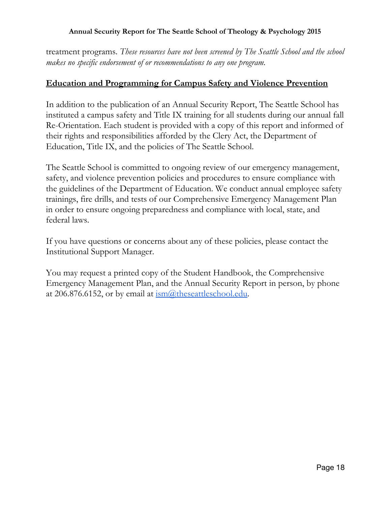treatment programs. *These resources have not been screened by The Seattle School and the school makes no specific endorsement of or recommendations to any one program.*

#### **Education and Programming for Campus Safety and Violence Prevention**

In addition to the publication of an Annual Security Report, The Seattle School has instituted a campus safety and Title IX training for all students during our annual fall Re-Orientation. Each student is provided with a copy of this report and informed of their rights and responsibilities afforded by the Clery Act, the Department of Education, Title IX, and the policies of The Seattle School.

The Seattle School is committed to ongoing review of our emergency management, safety, and violence prevention policies and procedures to ensure compliance with the guidelines of the Department of Education. We conduct annual employee safety trainings, fire drills, and tests of our Comprehensive Emergency Management Plan in order to ensure ongoing preparedness and compliance with local, state, and federal laws.

If you have questions or concerns about any of these policies, please contact the Institutional Support Manager.

You may request a printed copy of the Student Handbook, the Comprehensive Emergency Management Plan, and the Annual Security Report in person, by phone at 206.876.6152, or by email at  $\frac{\text{ism@the} \cdot \text{test the school.edu}}{\text{min@the} \cdot \text{test}}$ .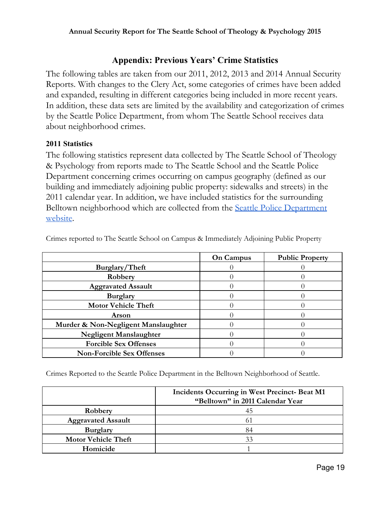### **Appendix: Previous Years' Crime Statistics**

The following tables are taken from our 2011, 2012, 2013 and 2014 Annual Security Reports. With changes to the Clery Act, some categories of crimes have been added and expanded, resulting in different categories being included in more recent years. In addition, these data sets are limited by the availability and categorization of crimes by the Seattle Police Department, from whom The Seattle School receives data about neighborhood crimes.

#### **2011 Statistics**

The following statistics represent data collected by The Seattle School of Theology & Psychology from reports made to The Seattle School and the Seattle Police Department concerning crimes occurring on campus geography (defined as our building and immediately adjoining public property: sidewalks and streets) in the 2011 calendar year. In addition, we have included statistics for the surrounding Belltown neighborhood which are collected from the **[Seattle Police Department](http://www.seattle.gov/police/crime/stats.htm)** [website.](http://www.seattle.gov/police/crime/stats.htm)

|                                     | <b>On Campus</b> | <b>Public Property</b> |
|-------------------------------------|------------------|------------------------|
| Burglary/Theft                      |                  |                        |
| Robbery                             |                  |                        |
| <b>Aggravated Assault</b>           |                  |                        |
| <b>Burglary</b>                     |                  |                        |
| <b>Motor Vehicle Theft</b>          |                  |                        |
| Arson                               |                  |                        |
| Murder & Non-Negligent Manslaughter |                  |                        |
| <b>Negligent Manslaughter</b>       |                  |                        |
| <b>Forcible Sex Offenses</b>        |                  |                        |
| <b>Non-Forcible Sex Offenses</b>    |                  |                        |

Crimes reported to The Seattle School on Campus & Immediately Adjoining Public Property

Crimes Reported to the Seattle Police Department in the Belltown Neighborhood of Seattle.

|                            | Incidents Occurring in West Precinct- Beat M1<br>"Belltown" in 2011 Calendar Year |
|----------------------------|-----------------------------------------------------------------------------------|
| Robbery                    |                                                                                   |
| <b>Aggravated Assault</b>  |                                                                                   |
| <b>Burglary</b>            | 84                                                                                |
| <b>Motor Vehicle Theft</b> |                                                                                   |
| Homicide                   |                                                                                   |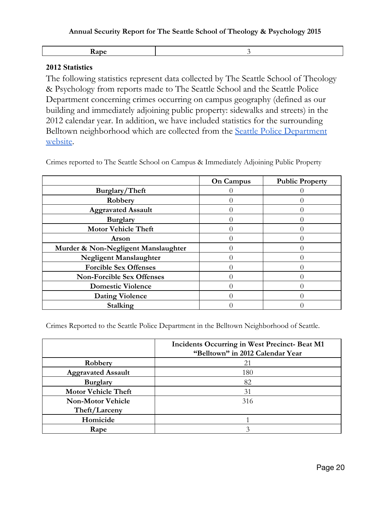|--|--|

#### **2012 Statistics**

The following statistics represent data collected by The Seattle School of Theology & Psychology from reports made to The Seattle School and the Seattle Police Department concerning crimes occurring on campus geography (defined as our building and immediately adjoining public property: sidewalks and streets) in the 2012 calendar year. In addition, we have included statistics for the surrounding Belltown neighborhood which are collected from the <u>[Seattle Police Department](http://www.seattle.gov/police/crime/stats.htm)</u> [website.](http://www.seattle.gov/police/crime/stats.htm)

|                                     | <b>On Campus</b> | <b>Public Property</b> |
|-------------------------------------|------------------|------------------------|
| Burglary/Theft                      |                  |                        |
| Robbery                             |                  |                        |
| <b>Aggravated Assault</b>           |                  |                        |
| <b>Burglary</b>                     |                  |                        |
| <b>Motor Vehicle Theft</b>          |                  |                        |
| <b>Arson</b>                        |                  |                        |
| Murder & Non-Negligent Manslaughter |                  |                        |
| <b>Negligent Manslaughter</b>       |                  |                        |
| <b>Forcible Sex Offenses</b>        |                  |                        |
| <b>Non-Forcible Sex Offenses</b>    |                  |                        |
| <b>Domestic Violence</b>            |                  |                        |
| <b>Dating Violence</b>              |                  |                        |
| Stalking                            |                  |                        |

Crimes reported to The Seattle School on Campus & Immediately Adjoining Public Property

Crimes Reported to the Seattle Police Department in the Belltown Neighborhood of Seattle.

|                            | Incidents Occurring in West Precinct- Beat M1<br>"Belltown" in 2012 Calendar Year |
|----------------------------|-----------------------------------------------------------------------------------|
| Robbery                    | 21                                                                                |
| <b>Aggravated Assault</b>  | 180                                                                               |
| <b>Burglary</b>            | 82                                                                                |
| <b>Motor Vehicle Theft</b> | 31                                                                                |
| <b>Non-Motor Vehicle</b>   | 316                                                                               |
| Theft/Larceny              |                                                                                   |
| Homicide                   |                                                                                   |
| Rape                       |                                                                                   |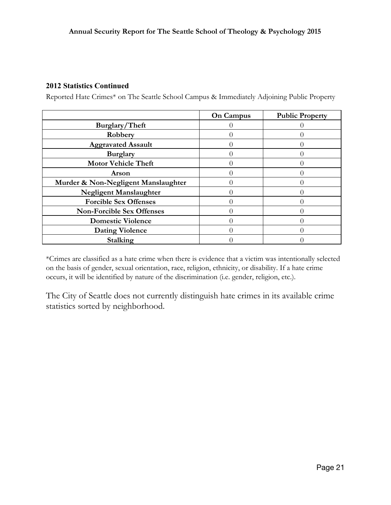#### **2012 Statistics Continued**

Reported Hate Crimes\* on The Seattle School Campus & Immediately Adjoining Public Property

|                                     | <b>On Campus</b> | <b>Public Property</b> |
|-------------------------------------|------------------|------------------------|
| Burglary/Theft                      |                  |                        |
| Robbery                             |                  |                        |
| <b>Aggravated Assault</b>           |                  |                        |
| <b>Burglary</b>                     |                  |                        |
| <b>Motor Vehicle Theft</b>          |                  |                        |
| <b>Arson</b>                        |                  |                        |
| Murder & Non-Negligent Manslaughter |                  |                        |
| <b>Negligent Manslaughter</b>       |                  |                        |
| <b>Forcible Sex Offenses</b>        |                  |                        |
| <b>Non-Forcible Sex Offenses</b>    |                  |                        |
| <b>Domestic Violence</b>            |                  |                        |
| <b>Dating Violence</b>              |                  |                        |
| Stalking                            |                  |                        |

\*Crimes are classified as a hate crime when there is evidence that a victim was intentionally selected on the basis of gender, sexual orientation, race, religion, ethnicity, or disability. If a hate crime occurs, it will be identified by nature of the discrimination (i.e. gender, religion, etc.).

The City of Seattle does not currently distinguish hate crimes in its available crime statistics sorted by neighborhood.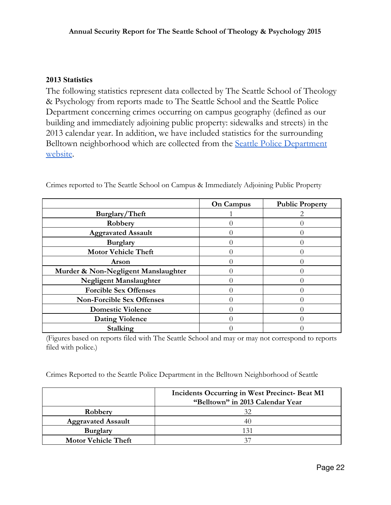#### **2013 Statistics**

The following statistics represent data collected by The Seattle School of Theology & Psychology from reports made to The Seattle School and the Seattle Police Department concerning crimes occurring on campus geography (defined as our building and immediately adjoining public property: sidewalks and streets) in the 2013 calendar year. In addition, we have included statistics for the surrounding Belltown neighborhood which are collected from the [Seattle Police Department](http://www.seattle.gov/police/crime/stats.htm) [website.](http://www.seattle.gov/police/crime/stats.htm)

|                                     | <b>On Campus</b> | <b>Public Property</b> |
|-------------------------------------|------------------|------------------------|
| Burglary/Theft                      |                  |                        |
| Robbery                             |                  |                        |
| <b>Aggravated Assault</b>           |                  |                        |
| <b>Burglary</b>                     |                  |                        |
| <b>Motor Vehicle Theft</b>          |                  |                        |
| Arson                               |                  |                        |
| Murder & Non-Negligent Manslaughter |                  |                        |
| <b>Negligent Manslaughter</b>       |                  |                        |
| <b>Forcible Sex Offenses</b>        |                  |                        |
| <b>Non-Forcible Sex Offenses</b>    |                  |                        |
| <b>Domestic Violence</b>            |                  |                        |
| <b>Dating Violence</b>              |                  |                        |
| Stalking                            |                  |                        |

Crimes reported to The Seattle School on Campus & Immediately Adjoining Public Property

(Figures based on reports filed with The Seattle School and may or may not correspond to reports filed with police.)

Crimes Reported to the Seattle Police Department in the Belltown Neighborhood of Seattle

|                            | Incidents Occurring in West Precinct- Beat M1 |  |
|----------------------------|-----------------------------------------------|--|
|                            | "Belltown" in 2013 Calendar Year              |  |
| Robbery                    | 32                                            |  |
| <b>Aggravated Assault</b>  |                                               |  |
| <b>Burglary</b>            | 131                                           |  |
| <b>Motor Vehicle Theft</b> |                                               |  |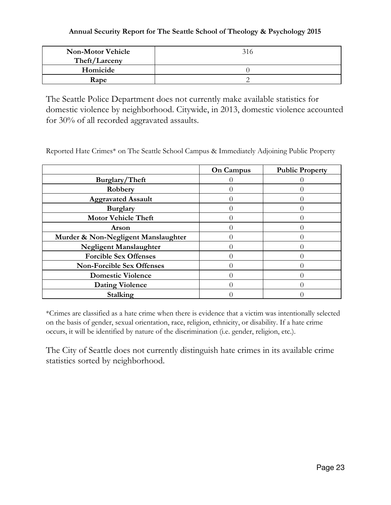| <b>Non-Motor Vehicle</b><br>Theft/Larceny | 316 |
|-------------------------------------------|-----|
| Homicide                                  |     |
| Rape                                      |     |

The Seattle Police Department does not currently make available statistics for domestic violence by neighborhood. Citywide, in 2013, domestic violence accounted for 30% of all recorded aggravated assaults.

|                                     | <b>On Campus</b> | <b>Public Property</b> |
|-------------------------------------|------------------|------------------------|
| Burglary/Theft                      |                  |                        |
| Robbery                             |                  |                        |
| <b>Aggravated Assault</b>           |                  |                        |
| <b>Burglary</b>                     |                  |                        |
| <b>Motor Vehicle Theft</b>          |                  |                        |
| Arson                               |                  |                        |
| Murder & Non-Negligent Manslaughter |                  |                        |
| <b>Negligent Manslaughter</b>       |                  |                        |
| <b>Forcible Sex Offenses</b>        |                  |                        |
| <b>Non-Forcible Sex Offenses</b>    |                  |                        |
| <b>Domestic Violence</b>            |                  |                        |
| <b>Dating Violence</b>              |                  |                        |
| Stalking                            |                  |                        |

Reported Hate Crimes\* on The Seattle School Campus & Immediately Adjoining Public Property

\*Crimes are classified as a hate crime when there is evidence that a victim was intentionally selected on the basis of gender, sexual orientation, race, religion, ethnicity, or disability. If a hate crime occurs, it will be identified by nature of the discrimination (i.e. gender, religion, etc.).

The City of Seattle does not currently distinguish hate crimes in its available crime statistics sorted by neighborhood.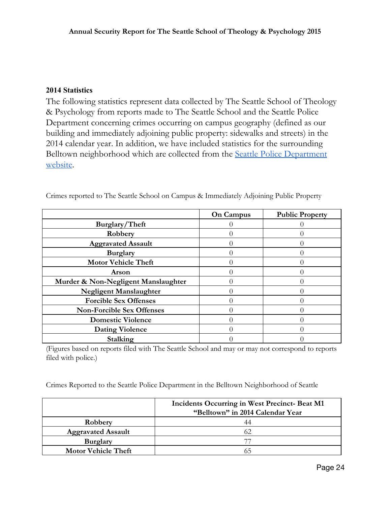#### **2014 Statistics**

The following statistics represent data collected by The Seattle School of Theology & Psychology from reports made to The Seattle School and the Seattle Police Department concerning crimes occurring on campus geography (defined as our building and immediately adjoining public property: sidewalks and streets) in the 2014 calendar year. In addition, we have included statistics for the surrounding Belltown neighborhood which are collected from the [Seattle Police Department](http://www.seattle.gov/police/crime/stats.htm) [website.](http://www.seattle.gov/police/crime/stats.htm)

|                                     | <b>On Campus</b> | <b>Public Property</b> |
|-------------------------------------|------------------|------------------------|
| Burglary/Theft                      |                  |                        |
| Robbery                             |                  |                        |
| <b>Aggravated Assault</b>           |                  |                        |
| <b>Burglary</b>                     |                  |                        |
| <b>Motor Vehicle Theft</b>          |                  |                        |
| Arson                               |                  |                        |
| Murder & Non-Negligent Manslaughter |                  |                        |
| <b>Negligent Manslaughter</b>       |                  |                        |
| <b>Forcible Sex Offenses</b>        |                  |                        |
| <b>Non-Forcible Sex Offenses</b>    |                  |                        |
| <b>Domestic Violence</b>            |                  |                        |
| <b>Dating Violence</b>              |                  |                        |
| Stalking                            |                  |                        |

Crimes reported to The Seattle School on Campus & Immediately Adjoining Public Property

(Figures based on reports filed with The Seattle School and may or may not correspond to reports filed with police.)

Crimes Reported to the Seattle Police Department in the Belltown Neighborhood of Seattle

|                            | Incidents Occurring in West Precinct- Beat M1<br>"Belltown" in 2014 Calendar Year |  |
|----------------------------|-----------------------------------------------------------------------------------|--|
| Robbery                    |                                                                                   |  |
| <b>Aggravated Assault</b>  | 62                                                                                |  |
| <b>Burglary</b>            |                                                                                   |  |
| <b>Motor Vehicle Theft</b> |                                                                                   |  |